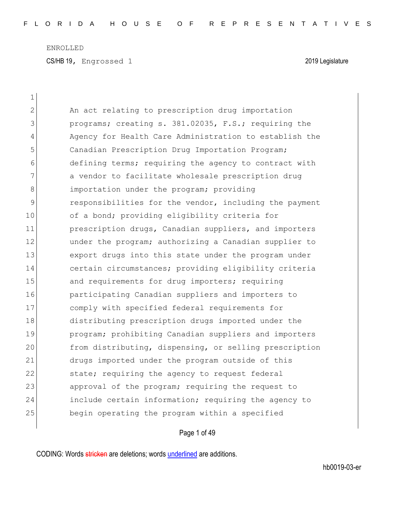CS/HB 19, Engrossed 1 2019 Legislature

| $\mathbf 1$   |                                                        |
|---------------|--------------------------------------------------------|
| $\mathbf{2}$  | An act relating to prescription drug importation       |
| 3             | programs; creating s. 381.02035, F.S.; requiring the   |
| 4             | Agency for Health Care Administration to establish the |
| 5             | Canadian Prescription Drug Importation Program;        |
| 6             | defining terms; requiring the agency to contract with  |
| 7             | a vendor to facilitate wholesale prescription drug     |
| 8             | importation under the program; providing               |
| $\mathcal{G}$ | responsibilities for the vendor, including the payment |
| 10            | of a bond; providing eligibility criteria for          |
| 11            | prescription drugs, Canadian suppliers, and importers  |
| 12            | under the program; authorizing a Canadian supplier to  |
| 13            | export drugs into this state under the program under   |
| 14            | certain circumstances; providing eligibility criteria  |
| 15            | and requirements for drug importers; requiring         |
| 16            | participating Canadian suppliers and importers to      |
| 17            | comply with specified federal requirements for         |
| 18            | distributing prescription drugs imported under the     |
| 19            | program; prohibiting Canadian suppliers and importers  |
| 20            | from distributing, dispensing, or selling prescription |
| 21            | drugs imported under the program outside of this       |
| 22            | state; requiring the agency to request federal         |
| 23            | approval of the program; requiring the request to      |
| 24            | include certain information; requiring the agency to   |
| 25            | begin operating the program within a specified         |
|               |                                                        |

# Page 1 of 49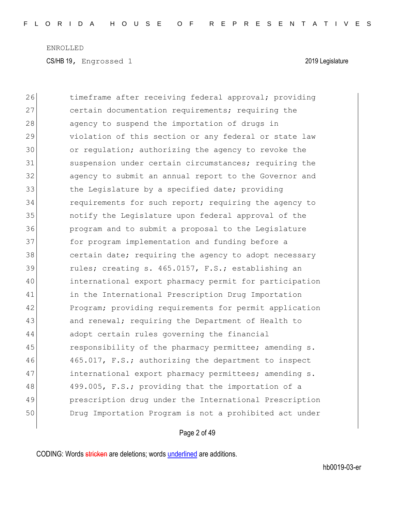CS/HB 19, Engrossed 1 2019 Legislature

26 timeframe after receiving federal approval; providing 27 certain documentation requirements; requiring the 28 agency to suspend the importation of drugs in 29 violation of this section or any federal or state law 30 or regulation; authorizing the agency to revoke the 31 suspension under certain circumstances; requiring the 32 agency to submit an annual report to the Governor and 33 the Legislature by a specified date; providing 34 requirements for such report; requiring the agency to 35 notify the Legislature upon federal approval of the 36 program and to submit a proposal to the Legislature 37 for program implementation and funding before a 38 certain date; requiring the agency to adopt necessary 39 rules; creating s. 465.0157, F.S.; establishing an 40 international export pharmacy permit for participation 41 in the International Prescription Drug Importation 42 Program; providing requirements for permit application 43 and renewal; requiring the Department of Health to 44 adopt certain rules governing the financial 45 responsibility of the pharmacy permittee; amending s. 46 465.017, F.S.; authorizing the department to inspect 47 international export pharmacy permittees; amending s. 48 499.005, F.S.; providing that the importation of a 49 **prescription drug under the International Prescription** 50 Drug Importation Program is not a prohibited act under

### Page 2 of 49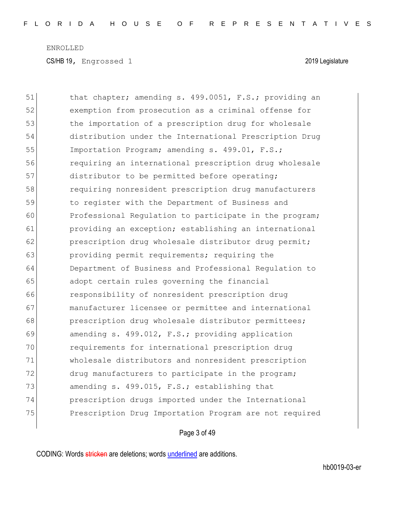CS/HB 19, Engrossed 1 2019 Legislature

51 that chapter; amending s. 499.0051, F.S.; providing an 52 exemption from prosecution as a criminal offense for 53 the importation of a prescription drug for wholesale 54 distribution under the International Prescription Drug 55 Importation Program; amending s. 499.01, F.S.; 56 requiring an international prescription drug wholesale 57 distributor to be permitted before operating; 58 requiring nonresident prescription drug manufacturers 59 to register with the Department of Business and 60 Professional Requlation to participate in the program; 61 **providing an exception; establishing an international** 62 prescription drug wholesale distributor drug permit; 63 providing permit requirements; requiring the 64 Department of Business and Professional Regulation to 65 adopt certain rules governing the financial 66 responsibility of nonresident prescription drug 67 manufacturer licensee or permittee and international 68 prescription drug wholesale distributor permittees; 69 amending s. 499.012, F.S.; providing application 70 requirements for international prescription drug 71 wholesale distributors and nonresident prescription 72 drug manufacturers to participate in the program; 73 amending s. 499.015, F.S.; establishing that 74 **prescription drugs imported under the International** 75 Prescription Drug Importation Program are not required

### Page 3 of 49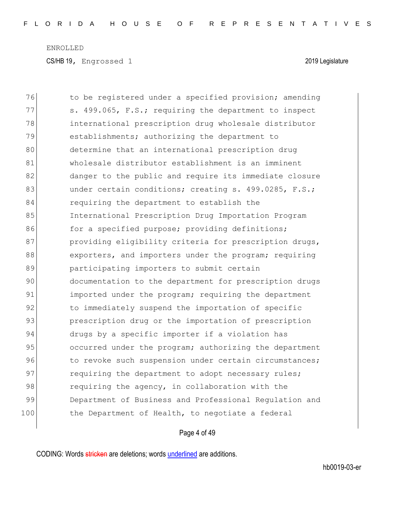CS/HB 19, Engrossed 1 2019 Legislature

| 76  | to be registered under a specified provision; amending |
|-----|--------------------------------------------------------|
| 77  | s. 499.065, F.S.; requiring the department to inspect  |
| 78  | international prescription drug wholesale distributor  |
| 79  | establishments; authorizing the department to          |
| 80  | determine that an international prescription drug      |
| 81  | wholesale distributor establishment is an imminent     |
| 82  | danger to the public and require its immediate closure |
| 83  | under certain conditions; creating s. 499.0285, F.S.;  |
| 84  | requiring the department to establish the              |
| 85  | International Prescription Drug Importation Program    |
| 86  | for a specified purpose; providing definitions;        |
| 87  | providing eligibility criteria for prescription drugs, |
| 88  | exporters, and importers under the program; requiring  |
| 89  | participating importers to submit certain              |
| 90  | documentation to the department for prescription drugs |
| 91  | imported under the program; requiring the department   |
| 92  | to immediately suspend the importation of specific     |
| 93  | prescription drug or the importation of prescription   |
| 94  | drugs by a specific importer if a violation has        |
| 95  | occurred under the program; authorizing the department |
| 96  | to revoke such suspension under certain circumstances; |
| 97  | requiring the department to adopt necessary rules;     |
| 98  | requiring the agency, in collaboration with the        |
| 99  | Department of Business and Professional Regulation and |
| 100 | the Department of Health, to negotiate a federal       |

# Page 4 of 49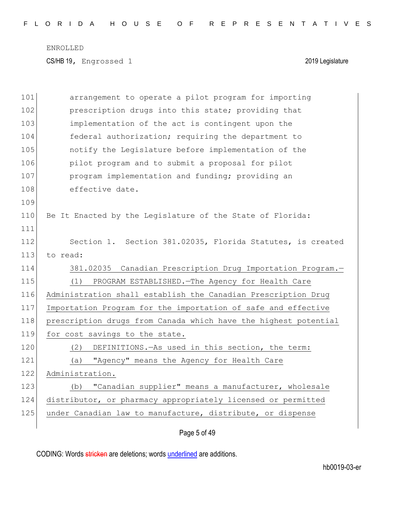| 101 | arrangement to operate a pilot program for importing            |
|-----|-----------------------------------------------------------------|
| 102 | prescription drugs into this state; providing that              |
| 103 | implementation of the act is contingent upon the                |
| 104 | federal authorization; requiring the department to              |
| 105 | notify the Legislature before implementation of the             |
| 106 | pilot program and to submit a proposal for pilot                |
| 107 | program implementation and funding; providing an                |
| 108 | effective date.                                                 |
| 109 |                                                                 |
| 110 | Be It Enacted by the Legislature of the State of Florida:       |
| 111 |                                                                 |
| 112 | Section 1. Section 381.02035, Florida Statutes, is created      |
| 113 | to read:                                                        |
| 114 | 381.02035 Canadian Prescription Drug Importation Program.-      |
| 115 | PROGRAM ESTABLISHED. - The Agency for Health Care<br>(1)        |
| 116 | Administration shall establish the Canadian Prescription Drug   |
| 117 | Importation Program for the importation of safe and effective   |
| 118 | prescription drugs from Canada which have the highest potential |
| 119 | for cost savings to the state.                                  |
| 120 | DEFINITIONS. - As used in this section, the term:<br>(2)        |
| 121 | "Agency" means the Agency for Health Care<br>(a)                |
| 122 | Administration.                                                 |
| 123 | "Canadian supplier" means a manufacturer, wholesale<br>(b)      |
| 124 | distributor, or pharmacy appropriately licensed or permitted    |
| 125 | under Canadian law to manufacture, distribute, or dispense      |
|     |                                                                 |

Page 5 of 49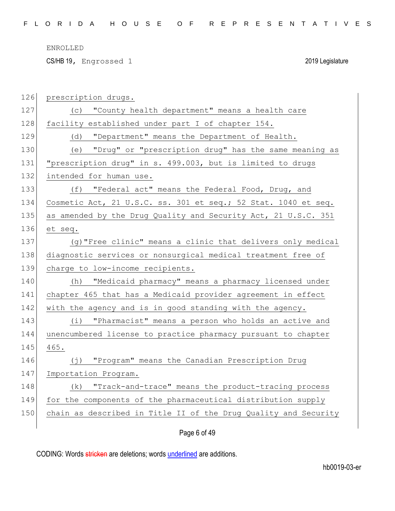CS/HB 19, Engrossed 1 2019 Legislature

| 126 | prescription drugs.                                             |
|-----|-----------------------------------------------------------------|
| 127 | (c) "County health department" means a health care              |
| 128 | facility established under part I of chapter 154.               |
| 129 | (d) "Department" means the Department of Health.                |
| 130 | (e) "Drug" or "prescription drug" has the same meaning as       |
| 131 | "prescription drug" in s. 499.003, but is limited to drugs      |
| 132 | intended for human use.                                         |
| 133 | (f) "Federal act" means the Federal Food, Drug, and             |
| 134 | Cosmetic Act, 21 U.S.C. ss. 301 et seq.; 52 Stat. 1040 et seq.  |
| 135 | as amended by the Drug Quality and Security Act, 21 U.S.C. 351  |
| 136 | et seq.                                                         |
| 137 | (g) "Free clinic" means a clinic that delivers only medical     |
| 138 | diagnostic services or nonsurgical medical treatment free of    |
|     |                                                                 |
| 139 | charge to low-income recipients.                                |
| 140 | "Medicaid pharmacy" means a pharmacy licensed under<br>(h)      |
| 141 | chapter 465 that has a Medicaid provider agreement in effect    |
| 142 | with the agency and is in good standing with the agency.        |
| 143 | (i) "Pharmacist" means a person who holds an active and         |
| 144 | unencumbered license to practice pharmacy pursuant to chapter   |
| 145 | 465.                                                            |
| 146 | (j) "Program" means the Canadian Prescription Drug              |
| 147 | Importation Program.                                            |
| 148 | (k) "Track-and-trace" means the product-tracing process         |
| 149 | for the components of the pharmaceutical distribution supply    |
| 150 | chain as described in Title II of the Drug Quality and Security |

Page 6 of 49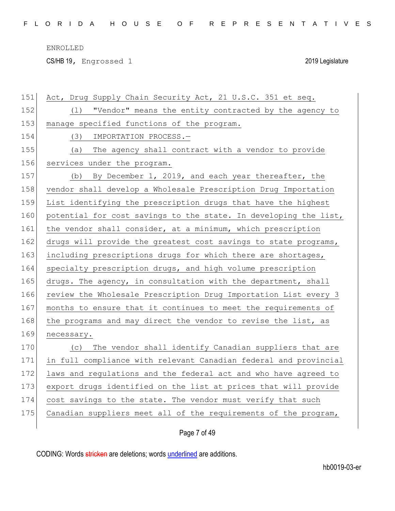CS/HB 19, Engrossed 1 2019 Legislature

| 151 | Act, Drug Supply Chain Security Act, 21 U.S.C. 351 et seq.       |
|-----|------------------------------------------------------------------|
| 152 | "Vendor" means the entity contracted by the agency to<br>(1)     |
| 153 | manage specified functions of the program.                       |
| 154 | IMPORTATION PROCESS.-<br>(3)                                     |
| 155 | The agency shall contract with a vendor to provide<br>(a)        |
| 156 | services under the program.                                      |
| 157 | (b) By December 1, 2019, and each year thereafter, the           |
| 158 | vendor shall develop a Wholesale Prescription Drug Importation   |
| 159 | List identifying the prescription drugs that have the highest    |
| 160 | potential for cost savings to the state. In developing the list, |
| 161 | the vendor shall consider, at a minimum, which prescription      |
| 162 | drugs will provide the greatest cost savings to state programs,  |
| 163 | including prescriptions drugs for which there are shortages,     |
| 164 | specialty prescription drugs, and high volume prescription       |
| 165 | drugs. The agency, in consultation with the department, shall    |
| 166 | review the Wholesale Prescription Drug Importation List every 3  |
| 167 | months to ensure that it continues to meet the requirements of   |
| 168 | the programs and may direct the vendor to revise the list, as    |
| 169 | necessary.                                                       |
| 170 | The vendor shall identify Canadian suppliers that are<br>(C)     |
| 171 | in full compliance with relevant Canadian federal and provincial |
| 172 | laws and regulations and the federal act and who have agreed to  |
| 173 | export drugs identified on the list at prices that will provide  |
| 174 | cost savings to the state. The vendor must verify that such      |
| 175 | Canadian suppliers meet all of the requirements of the program,  |
|     |                                                                  |

Page 7 of 49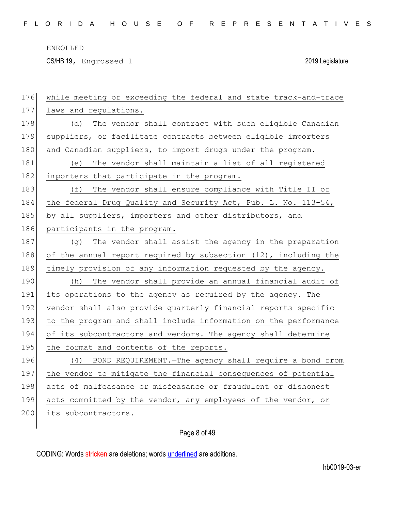CS/HB 19, Engrossed 1 2019 Legislature

| 176 | while meeting or exceeding the federal and state track-and-trace |
|-----|------------------------------------------------------------------|
| 177 | laws and regulations.                                            |
| 178 | (d) The vendor shall contract with such eligible Canadian        |
| 179 | suppliers, or facilitate contracts between eligible importers    |
| 180 | and Canadian suppliers, to import drugs under the program.       |
| 181 | The vendor shall maintain a list of all registered<br>(e)        |
| 182 | importers that participate in the program.                       |
| 183 | The vendor shall ensure compliance with Title II of<br>(f)       |
| 184 | the federal Drug Quality and Security Act, Pub. L. No. 113-54,   |
| 185 | by all suppliers, importers and other distributors, and          |
| 186 | participants in the program.                                     |
| 187 | The vendor shall assist the agency in the preparation<br>(g)     |
| 188 | of the annual report required by subsection (12), including the  |
| 189 | timely provision of any information requested by the agency.     |
| 190 | The vendor shall provide an annual financial audit of<br>(h)     |
| 191 | its operations to the agency as required by the agency. The      |
| 192 | vendor shall also provide quarterly financial reports specific   |
| 193 | to the program and shall include information on the performance  |
| 194 | of its subcontractors and vendors. The agency shall determine    |
| 195 | the format and contents of the reports.                          |
| 196 | (4) BOND REQUIREMENT. The agency shall require a bond from       |
| 197 | the vendor to mitigate the financial consequences of potential   |
| 198 | acts of malfeasance or misfeasance or fraudulent or dishonest    |
| 199 | acts committed by the vendor, any employees of the vendor, or    |
| 200 | its subcontractors.                                              |
|     |                                                                  |

# Page 8 of 49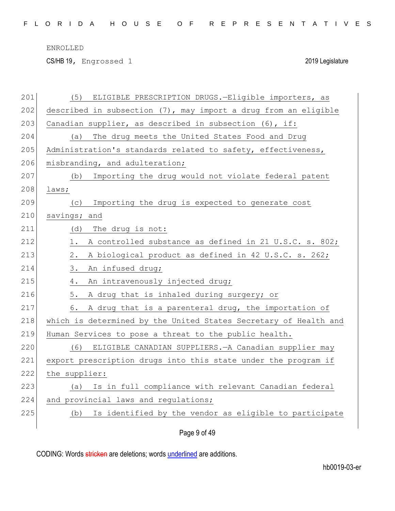CS/HB 19, Engrossed 1 2019 Legislature

| 201 | ELIGIBLE PRESCRIPTION DRUGS.-Eligible importers, as<br>(5)       |
|-----|------------------------------------------------------------------|
| 202 | described in subsection (7), may import a drug from an eligible  |
| 203 | Canadian supplier, as described in subsection (6), if:           |
| 204 | The drug meets the United States Food and Drug<br>(a)            |
| 205 | Administration's standards related to safety, effectiveness,     |
| 206 | misbranding, and adulteration;                                   |
| 207 | Importing the drug would not violate federal patent<br>(b)       |
| 208 | laws;                                                            |
| 209 | Importing the drug is expected to generate cost<br>(C)           |
| 210 | savings; and                                                     |
| 211 | (d)<br>The drug is not:                                          |
| 212 | A controlled substance as defined in 21 U.S.C. s. 802;<br>1.     |
| 213 | $2$ .<br>A biological product as defined in 42 U.S.C. s. 262;    |
| 214 | 3.<br>An infused drug;                                           |
| 215 | 4.<br>An intravenously injected drug;                            |
| 216 | 5.<br>A drug that is inhaled during surgery; or                  |
| 217 | 6.<br>A drug that is a parenteral drug, the importation of       |
| 218 | which is determined by the United States Secretary of Health and |
| 219 | Human Services to pose a threat to the public health.            |
| 220 | ELIGIBLE CANADIAN SUPPLIERS. - A Canadian supplier may<br>(6)    |
| 221 | export prescription drugs into this state under the program if   |
| 222 | the supplier:                                                    |
| 223 | Is in full compliance with relevant Canadian federal<br>(a)      |
| 224 | and provincial laws and regulations;                             |
| 225 | Is identified by the vendor as eligible to participate<br>(b)    |
|     |                                                                  |
|     | Page 9 of 49                                                     |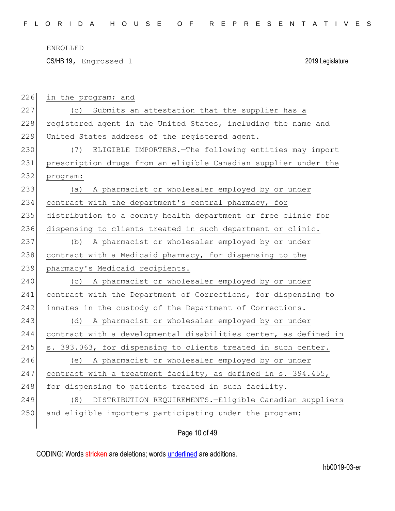CS/HB 19, Engrossed 1 2019 Legislature

| 226 | in the program; and                                              |
|-----|------------------------------------------------------------------|
| 227 | (c) Submits an attestation that the supplier has a               |
| 228 | registered agent in the United States, including the name and    |
| 229 | United States address of the registered agent.                   |
| 230 | (7) ELIGIBLE IMPORTERS. - The following entities may import      |
| 231 | prescription drugs from an eligible Canadian supplier under the  |
| 232 | program:                                                         |
| 233 | A pharmacist or wholesaler employed by or under<br>(a)           |
| 234 | contract with the department's central pharmacy, for             |
| 235 | distribution to a county health department or free clinic for    |
| 236 | dispensing to clients treated in such department or clinic.      |
| 237 | (b) A pharmacist or wholesaler employed by or under              |
| 238 | contract with a Medicaid pharmacy, for dispensing to the         |
| 239 | pharmacy's Medicaid recipients.                                  |
| 240 | (c) A pharmacist or wholesaler employed by or under              |
| 241 | contract with the Department of Corrections, for dispensing to   |
| 242 | inmates in the custody of the Department of Corrections.         |
| 243 | (d) A pharmacist or wholesaler employed by or under              |
| 244 | contract with a developmental disabilities center, as defined in |
| 245 | s. 393.063, for dispensing to clients treated in such center.    |
| 246 | (e) A pharmacist or wholesaler employed by or under              |
| 247 | contract with a treatment facility, as defined in s. 394.455,    |
| 248 | for dispensing to patients treated in such facility.             |
| 249 | (8)<br>DISTRIBUTION REQUIREMENTS.-Eligible Canadian suppliers    |
| 250 | and eligible importers participating under the program:          |
|     |                                                                  |

Page 10 of 49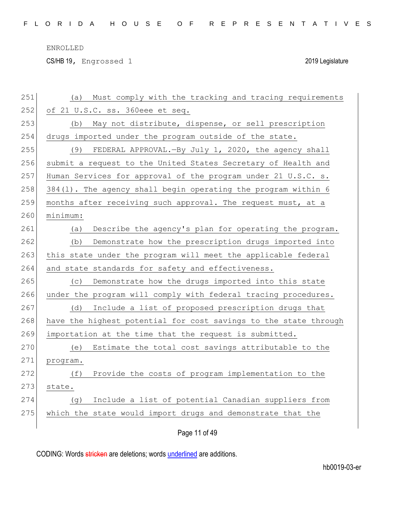CS/HB 19, Engrossed 1 2019 Legislature

| 251 | Must comply with the tracking and tracing requirements<br>(a)    |
|-----|------------------------------------------------------------------|
| 252 | of 21 U.S.C. ss. 360eee et seq.                                  |
| 253 | May not distribute, dispense, or sell prescription<br>(b)        |
| 254 | drugs imported under the program outside of the state.           |
| 255 | (9) FEDERAL APPROVAL. - By July 1, 2020, the agency shall        |
| 256 | submit a request to the United States Secretary of Health and    |
| 257 | Human Services for approval of the program under 21 U.S.C. s.    |
| 258 | $384(l)$ . The agency shall begin operating the program within 6 |
| 259 | months after receiving such approval. The request must, at a     |
| 260 | minimum:                                                         |
| 261 | Describe the agency's plan for operating the program.<br>(a)     |
| 262 | Demonstrate how the prescription drugs imported into<br>(b)      |
| 263 | this state under the program will meet the applicable federal    |
|     |                                                                  |
| 264 | and state standards for safety and effectiveness.                |
| 265 | Demonstrate how the drugs imported into this state<br>(C)        |
| 266 | under the program will comply with federal tracing procedures.   |
| 267 | Include a list of proposed prescription drugs that<br>(d)        |
| 268 | have the highest potential for cost savings to the state through |
| 269 | importation at the time that the request is submitted.           |
| 270 | Estimate the total cost savings attributable to the<br>(e)       |
| 271 | program.                                                         |
| 272 | Provide the costs of program implementation to the<br>(f)        |
| 273 | state.                                                           |
| 274 | Include a list of potential Canadian suppliers from<br>(q)       |
| 275 | which the state would import drugs and demonstrate that the      |

Page 11 of 49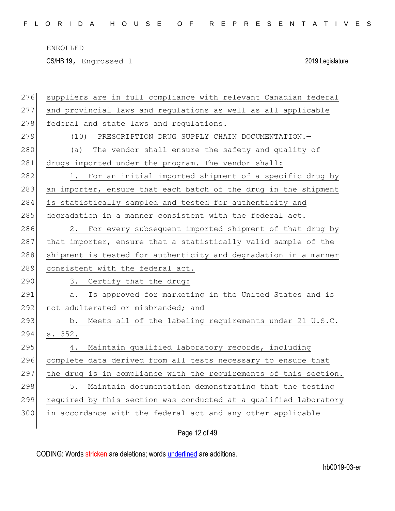F L O R I D A H O U S E O F R E P R E S E N T A T I V E S

ENROLLED

CS/HB 19, Engrossed 1 2019 Legislature

| 276 | suppliers are in full compliance with relevant Canadian federal  |
|-----|------------------------------------------------------------------|
| 277 | and provincial laws and regulations as well as all applicable    |
| 278 | federal and state laws and regulations.                          |
| 279 | (10) PRESCRIPTION DRUG SUPPLY CHAIN DOCUMENTATION.-              |
| 280 | The vendor shall ensure the safety and quality of<br>(a)         |
| 281 | drugs imported under the program. The vendor shall:              |
| 282 | For an initial imported shipment of a specific drug by<br>1.     |
| 283 | an importer, ensure that each batch of the drug in the shipment  |
| 284 | is statistically sampled and tested for authenticity and         |
| 285 | degradation in a manner consistent with the federal act.         |
| 286 | For every subsequent imported shipment of that drug by<br>2.     |
| 287 | that importer, ensure that a statistically valid sample of the   |
| 288 | shipment is tested for authenticity and degradation in a manner  |
| 289 | consistent with the federal act.                                 |
| 290 | Certify that the drug:<br>3.                                     |
| 291 | Is approved for marketing in the United States and is<br>а.      |
|     |                                                                  |
| 292 | not adulterated or misbranded; and                               |
| 293 | b. Meets all of the labeling requirements under 21 U.S.C.        |
| 294 | s. 352.                                                          |
| 295 | Maintain qualified laboratory records, including<br>4.           |
| 296 | complete data derived from all tests necessary to ensure that    |
| 297 | the drug is in compliance with the requirements of this section. |
| 298 | Maintain documentation demonstrating that the testing<br>5.      |
| 299 | required by this section was conducted at a qualified laboratory |
| 300 | in accordance with the federal act and any other applicable      |

Page 12 of 49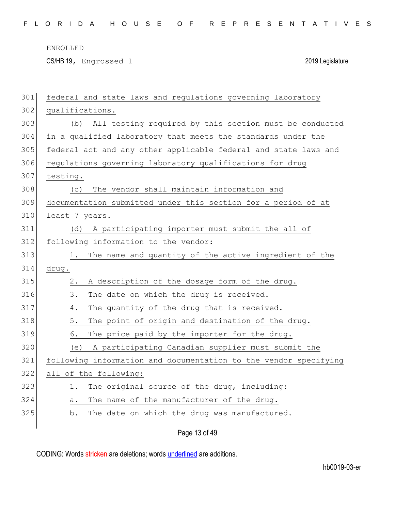CS/HB 19, Engrossed 1 2019 Legislature

| 301 | federal and state laws and regulations governing laboratory      |
|-----|------------------------------------------------------------------|
| 302 | qualifications.                                                  |
| 303 | (b) All testing required by this section must be conducted       |
| 304 | in a qualified laboratory that meets the standards under the     |
| 305 | federal act and any other applicable federal and state laws and  |
| 306 | regulations governing laboratory qualifications for drug         |
| 307 | testing.                                                         |
| 308 | The vendor shall maintain information and<br>(C)                 |
| 309 | documentation submitted under this section for a period of at    |
| 310 | least 7 years.                                                   |
| 311 | A participating importer must submit the all of<br>(d)           |
| 312 | following information to the vendor:                             |
| 313 | The name and quantity of the active ingredient of the<br>1.      |
| 314 | drug.                                                            |
| 315 | A description of the dosage form of the drug.<br>$2$ .           |
| 316 | 3.<br>The date on which the drug is received.                    |
| 317 | The quantity of the drug that is received.<br>4.                 |
| 318 | $5.$<br>The point of origin and destination of the drug.         |
| 319 | The price paid by the importer for the drug.<br>6.               |
| 320 | A participating Canadian supplier must submit the<br>(e)         |
| 321 | following information and documentation to the vendor specifying |
| 322 | all of the following:                                            |
| 323 | The original source of the drug, including:<br>1.                |
| 324 | The name of the manufacturer of the drug.<br>а.                  |
| 325 | The date on which the drug was manufactured.<br>b.               |
|     |                                                                  |

Page 13 of 49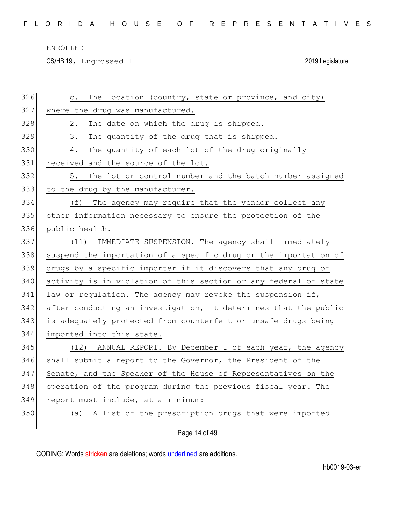CS/HB 19, Engrossed 1 2019 Legislature

| 326 | The location (country, state or province, and city)<br>$\circ$ . |
|-----|------------------------------------------------------------------|
| 327 | where the drug was manufactured.                                 |
| 328 | The date on which the drug is shipped.<br>2.                     |
| 329 | The quantity of the drug that is shipped.<br>3.                  |
| 330 | The quantity of each lot of the drug originally<br>4.            |
| 331 | received and the source of the lot.                              |
| 332 | The lot or control number and the batch number assigned<br>5.    |
| 333 | to the drug by the manufacturer.                                 |
| 334 | The agency may require that the vendor collect any<br>(f)        |
| 335 | other information necessary to ensure the protection of the      |
| 336 | public health.                                                   |
| 337 | IMMEDIATE SUSPENSION. - The agency shall immediately<br>(11)     |
| 338 | suspend the importation of a specific drug or the importation of |
| 339 | drugs by a specific importer if it discovers that any drug or    |
| 340 | activity is in violation of this section or any federal or state |
| 341 | law or regulation. The agency may revoke the suspension if,      |
| 342 | after conducting an investigation, it determines that the public |
| 343 | is adequately protected from counterfeit or unsafe drugs being   |
| 344 | imported into this state.                                        |
| 345 | ANNUAL REPORT. - By December 1 of each year, the agency<br>(12)  |
| 346 | shall submit a report to the Governor, the President of the      |
| 347 | Senate, and the Speaker of the House of Representatives on the   |
| 348 | operation of the program during the previous fiscal year. The    |
| 349 | report must include, at a minimum:                               |
| 350 | A list of the prescription drugs that were imported<br>(a)       |
|     | Page 14 of 49                                                    |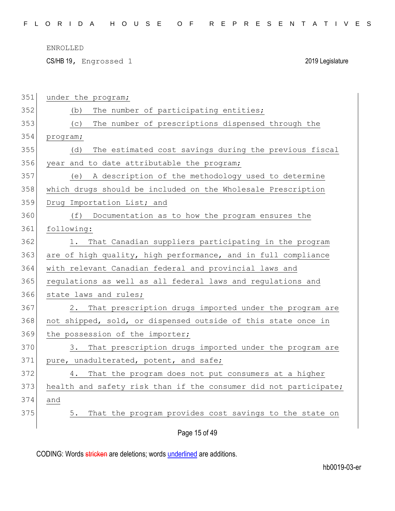CS/HB 19, Engrossed 1 2019 Legislature

| 351 | under the program;                                               |
|-----|------------------------------------------------------------------|
| 352 | The number of participating entities;<br>(b)                     |
| 353 | The number of prescriptions dispensed through the<br>(C)         |
| 354 | program;                                                         |
| 355 | The estimated cost savings during the previous fiscal<br>(d)     |
| 356 | year and to date attributable the program;                       |
| 357 | A description of the methodology used to determine<br>(e)        |
| 358 | which drugs should be included on the Wholesale Prescription     |
| 359 | Drug Importation List; and                                       |
| 360 | (f) Documentation as to how the program ensures the              |
| 361 | following:                                                       |
| 362 | That Canadian suppliers participating in the program<br>1.       |
| 363 | are of high quality, high performance, and in full compliance    |
| 364 | with relevant Canadian federal and provincial laws and           |
| 365 | regulations as well as all federal laws and regulations and      |
| 366 | state laws and rules;                                            |
| 367 | That prescription drugs imported under the program are<br>2.     |
| 368 | not shipped, sold, or dispensed outside of this state once in    |
| 369 | the possession of the importer;                                  |
| 370 | That prescription drugs imported under the program are<br>3.     |
| 371 | pure, unadulterated, potent, and safe;                           |
| 372 | That the program does not put consumers at a higher<br>4.        |
| 373 | health and safety risk than if the consumer did not participate; |
| 374 | and                                                              |
| 375 | That the program provides cost savings to the state on<br>5.     |
|     |                                                                  |

Page 15 of 49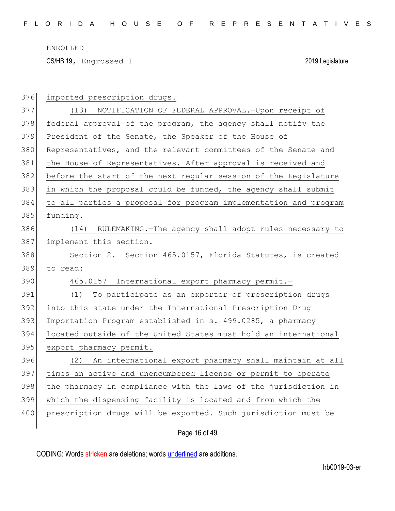CS/HB 19, Engrossed 1 2019 Legislature

| 376 | imported prescription drugs.                                     |
|-----|------------------------------------------------------------------|
| 377 | (13) NOTIFICATION OF FEDERAL APPROVAL. - Upon receipt of         |
| 378 | federal approval of the program, the agency shall notify the     |
| 379 | President of the Senate, the Speaker of the House of             |
| 380 | Representatives, and the relevant committees of the Senate and   |
| 381 | the House of Representatives. After approval is received and     |
| 382 | before the start of the next regular session of the Legislature  |
| 383 | in which the proposal could be funded, the agency shall submit   |
| 384 | to all parties a proposal for program implementation and program |
| 385 | funding.                                                         |
| 386 | (14) RULEMAKING. - The agency shall adopt rules necessary to     |
| 387 | implement this section.                                          |
| 388 | Section 2. Section 465.0157, Florida Statutes, is created        |
| 389 | to read:                                                         |
| 390 | 465.0157 International export pharmacy permit.-                  |
| 391 | (1) To participate as an exporter of prescription drugs          |
| 392 | into this state under the International Prescription Drug        |
| 393 | Importation Program established in s. 499.0285, a pharmacy       |
| 394 | located outside of the United States must hold an international  |
| 395 | export pharmacy permit.                                          |
| 396 | (2) An international export pharmacy shall maintain at all       |
| 397 | times an active and unencumbered license or permit to operate    |
| 398 | the pharmacy in compliance with the laws of the jurisdiction in  |
| 399 | which the dispensing facility is located and from which the      |
| 400 | prescription drugs will be exported. Such jurisdiction must be   |
|     |                                                                  |

Page 16 of 49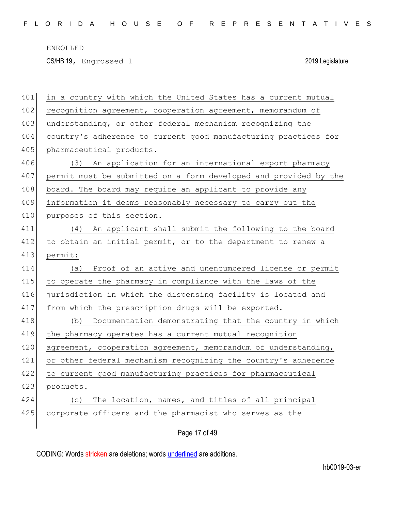CS/HB 19, Engrossed 1 2019 Legislature

| 401 | in a country with which the United States has a current mutual   |
|-----|------------------------------------------------------------------|
| 402 | recognition agreement, cooperation agreement, memorandum of      |
| 403 | understanding, or other federal mechanism recognizing the        |
| 404 | country's adherence to current good manufacturing practices for  |
| 405 | pharmaceutical products.                                         |
| 406 | (3) An application for an international export pharmacy          |
| 407 | permit must be submitted on a form developed and provided by the |
| 408 | board. The board may require an applicant to provide any         |
| 409 | information it deems reasonably necessary to carry out the       |
| 410 | purposes of this section.                                        |
| 411 | An applicant shall submit the following to the board<br>(4)      |
| 412 | to obtain an initial permit, or to the department to renew a     |
| 413 | permit:                                                          |
| 414 | Proof of an active and unencumbered license or permit<br>(a)     |
| 415 | to operate the pharmacy in compliance with the laws of the       |
| 416 | jurisdiction in which the dispensing facility is located and     |
| 417 | from which the prescription drugs will be exported.              |
| 418 | Documentation demonstrating that the country in which<br>(b)     |
| 419 | the pharmacy operates has a current mutual recognition           |
| 420 | agreement, cooperation agreement, memorandum of understanding,   |
| 421 | or other federal mechanism recognizing the country's adherence   |
| 422 | to current good manufacturing practices for pharmaceutical       |
| 423 | products.                                                        |
| 424 | The location, names, and titles of all principal<br>(C)          |
| 425 | corporate officers and the pharmacist who serves as the          |
|     |                                                                  |

Page 17 of 49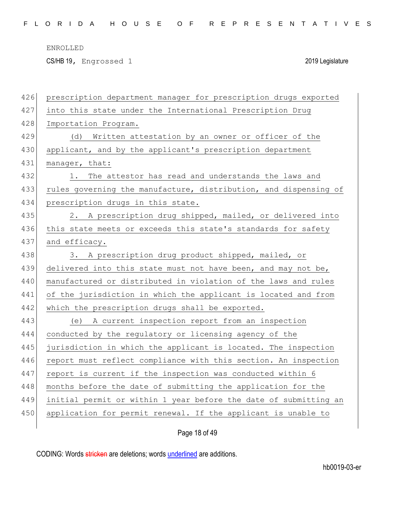CS/HB 19, Engrossed 1 2019 Legislature

| 426 | prescription department manager for prescription drugs exported  |
|-----|------------------------------------------------------------------|
| 427 | into this state under the International Prescription Drug        |
| 428 | Importation Program.                                             |
| 429 | Written attestation by an owner or officer of the<br>(d)         |
| 430 | applicant, and by the applicant's prescription department        |
| 431 | manager, that:                                                   |
| 432 | The attestor has read and understands the laws and<br>1.         |
| 433 | rules governing the manufacture, distribution, and dispensing of |
| 434 | prescription drugs in this state.                                |
| 435 | 2. A prescription drug shipped, mailed, or delivered into        |
| 436 | this state meets or exceeds this state's standards for safety    |
| 437 | and efficacy.                                                    |
| 438 | A prescription drug product shipped, mailed, or<br>3.            |
|     |                                                                  |
| 439 | delivered into this state must not have been, and may not be,    |
| 440 | manufactured or distributed in violation of the laws and rules   |
| 441 | of the jurisdiction in which the applicant is located and from   |
| 442 | which the prescription drugs shall be exported.                  |
| 443 | (e) A current inspection report from an inspection               |
| 444 | conducted by the regulatory or licensing agency of the           |
| 445 | jurisdiction in which the applicant is located. The inspection   |
| 446 | report must reflect compliance with this section. An inspection  |
| 447 | report is current if the inspection was conducted within 6       |
| 448 | months before the date of submitting the application for the     |
| 449 | initial permit or within 1 year before the date of submitting an |
| 450 | application for permit renewal. If the applicant is unable to    |

Page 18 of 49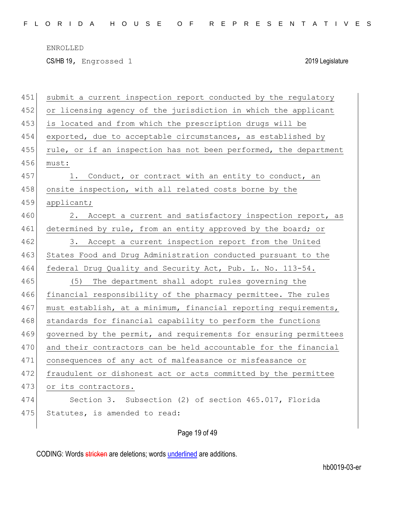CS/HB 19, Engrossed 1 2019 Legislature

| 451 | submit a current inspection report conducted by the regulatory   |
|-----|------------------------------------------------------------------|
| 452 | or licensing agency of the jurisdiction in which the applicant   |
| 453 | is located and from which the prescription drugs will be         |
| 454 | exported, due to acceptable circumstances, as established by     |
| 455 | rule, or if an inspection has not been performed, the department |
| 456 | must:                                                            |
| 457 | Conduct, or contract with an entity to conduct, an<br>1.         |
| 458 | onsite inspection, with all related costs borne by the           |
| 459 | applicant;                                                       |
| 460 | 2. Accept a current and satisfactory inspection report, as       |
| 461 | determined by rule, from an entity approved by the board; or     |
| 462 | 3. Accept a current inspection report from the United            |
| 463 | States Food and Drug Administration conducted pursuant to the    |
| 464 | federal Drug Quality and Security Act, Pub. L. No. 113-54.       |
| 465 | The department shall adopt rules governing the<br>(5)            |
| 466 | financial responsibility of the pharmacy permittee. The rules    |
| 467 | must establish, at a minimum, financial reporting requirements,  |
| 468 | standards for financial capability to perform the functions      |
| 469 | governed by the permit, and requirements for ensuring permittees |
| 470 | and their contractors can be held accountable for the financial  |
| 471 | consequences of any act of malfeasance or misfeasance or         |
| 472 | fraudulent or dishonest act or acts committed by the permittee   |
| 473 | or its contractors.                                              |
| 474 | Section 3. Subsection (2) of section 465.017, Florida            |
| 475 | Statutes, is amended to read:                                    |
|     |                                                                  |

Page 19 of 49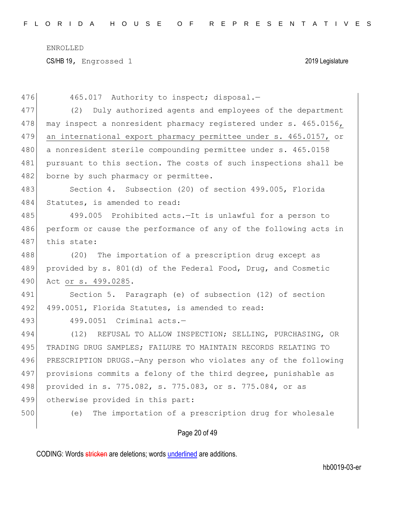CS/HB 19, Engrossed 1 2019 Legislature

| 476 | 465.017 Authority to inspect; disposal.-                         |
|-----|------------------------------------------------------------------|
| 477 | Duly authorized agents and employees of the department<br>(2)    |
| 478 | may inspect a nonresident pharmacy registered under s. 465.0156, |
| 479 | an international export pharmacy permittee under s. 465.0157, or |
| 480 | a nonresident sterile compounding permittee under s. 465.0158    |
| 481 | pursuant to this section. The costs of such inspections shall be |
| 482 | borne by such pharmacy or permittee.                             |
| 483 | Section 4. Subsection (20) of section 499.005, Florida           |
| 484 | Statutes, is amended to read:                                    |
| 485 | 499.005 Prohibited acts.-It is unlawful for a person to          |
| 486 | perform or cause the performance of any of the following acts in |
| 487 | this state:                                                      |
| 488 | (20) The importation of a prescription drug except as            |
| 489 | provided by s. 801(d) of the Federal Food, Drug, and Cosmetic    |
| 490 | Act or s. 499.0285.                                              |
| 491 | Section 5. Paragraph (e) of subsection (12) of section           |
| 492 | 499.0051, Florida Statutes, is amended to read:                  |
| 493 | 499.0051 Criminal acts.-                                         |
| 494 | REFUSAL TO ALLOW INSPECTION; SELLING, PURCHASING, OR<br>(12)     |
| 495 | TRADING DRUG SAMPLES; FAILURE TO MAINTAIN RECORDS RELATING TO    |
| 496 | PRESCRIPTION DRUGS. Any person who violates any of the following |
| 497 | provisions commits a felony of the third degree, punishable as   |
| 498 | provided in s. 775.082, s. 775.083, or s. 775.084, or as         |
| 499 | otherwise provided in this part:                                 |
| 500 | The importation of a prescription drug for wholesale<br>(e)      |
|     |                                                                  |

Page 20 of 49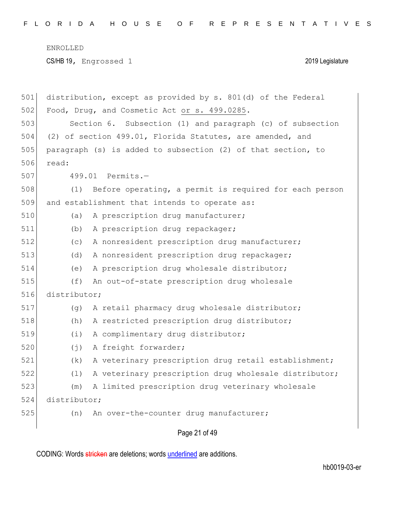F L O R I D A H O U S E O F R E P R E S E N T A T I V E S

ENROLLED CS/HB 19, Engrossed 1 2019 Legislature

| 501 | distribution, except as provided by s. 801(d) of the Federal  |
|-----|---------------------------------------------------------------|
| 502 | Food, Drug, and Cosmetic Act or s. 499.0285.                  |
| 503 | Section 6. Subsection (1) and paragraph (c) of subsection     |
| 504 | (2) of section 499.01, Florida Statutes, are amended, and     |
| 505 | paragraph (s) is added to subsection (2) of that section, to  |
| 506 | read:                                                         |
| 507 | 499.01 Permits.-                                              |
| 508 | Before operating, a permit is required for each person<br>(1) |
| 509 | and establishment that intends to operate as:                 |
| 510 | A prescription drug manufacturer;<br>(a)                      |
| 511 | A prescription drug repackager;<br>(b)                        |
| 512 | A nonresident prescription drug manufacturer;<br>(C)          |
| 513 | (d)<br>A nonresident prescription drug repackager;            |
| 514 | A prescription drug wholesale distributor;<br>(e)             |
| 515 | (f)<br>An out-of-state prescription drug wholesale            |
| 516 | distributor;                                                  |
| 517 | A retail pharmacy drug wholesale distributor;<br>(q)          |
| 518 | A restricted prescription drug distributor;<br>(h)            |
| 519 | A complimentary drug distributor;<br>(i)                      |
| 520 | $(\dagger)$<br>A freight forwarder;                           |
| 521 | A veterinary prescription drug retail establishment;<br>(k)   |
| 522 | A veterinary prescription drug wholesale distributor;<br>(1)  |
| 523 | A limited prescription drug veterinary wholesale<br>(m)       |
| 524 | distributor;                                                  |
| 525 | An over-the-counter drug manufacturer;<br>(n)                 |
|     |                                                               |

# Page 21 of 49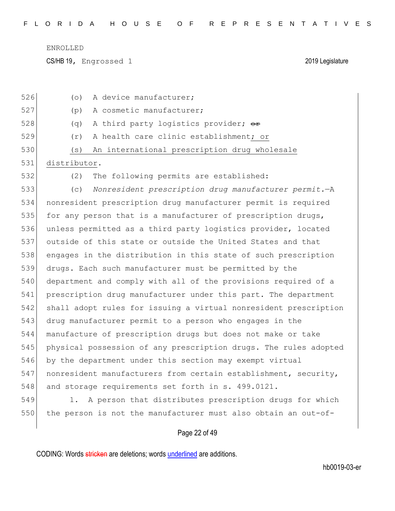CS/HB 19, Engrossed 1 2019 Legislature

| 526 | A device manufacturer;<br>(0)                                    |
|-----|------------------------------------------------------------------|
| 527 | A cosmetic manufacturer;<br>(p)                                  |
| 528 | A third party logistics provider; or<br>(q)                      |
| 529 | A health care clinic establishment; or<br>(r)                    |
| 530 | An international prescription drug wholesale<br>(s)              |
| 531 | distributor.                                                     |
| 532 | (2)<br>The following permits are established:                    |
| 533 | Nonresident prescription drug manufacturer permit.-A<br>(C)      |
| 534 | nonresident prescription drug manufacturer permit is required    |
| 535 | for any person that is a manufacturer of prescription drugs,     |
| 536 | unless permitted as a third party logistics provider, located    |
| 537 | outside of this state or outside the United States and that      |
| 538 | engages in the distribution in this state of such prescription   |
| 539 | drugs. Each such manufacturer must be permitted by the           |
| 540 | department and comply with all of the provisions required of a   |
| 541 | prescription drug manufacturer under this part. The department   |
| 542 | shall adopt rules for issuing a virtual nonresident prescription |
| 543 | drug manufacturer permit to a person who engages in the          |
| 544 | manufacture of prescription drugs but does not make or take      |
| 545 | physical possession of any prescription drugs. The rules adopted |
| 546 | by the department under this section may exempt virtual          |
| 547 | nonresident manufacturers from certain establishment, security,  |
| 548 | and storage requirements set forth in s. 499.0121.               |
| 549 | A person that distributes prescription drugs for which<br>1.     |
| 550 | the person is not the manufacturer must also obtain an out-of-   |
|     |                                                                  |

# Page 22 of 49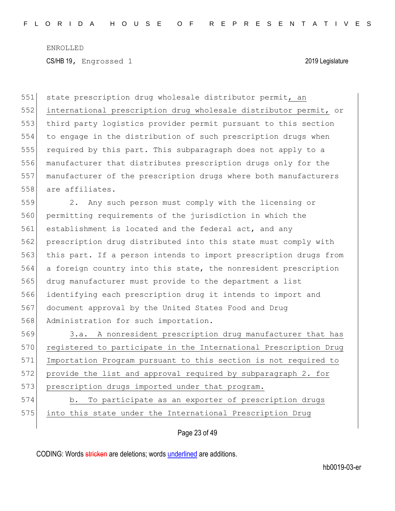551 state prescription drug wholesale distributor permit, an international prescription drug wholesale distributor permit, or third party logistics provider permit pursuant to this section to engage in the distribution of such prescription drugs when required by this part. This subparagraph does not apply to a manufacturer that distributes prescription drugs only for the manufacturer of the prescription drugs where both manufacturers 558 are affiliates.

 2. Any such person must comply with the licensing or permitting requirements of the jurisdiction in which the 561 establishment is located and the federal act, and any prescription drug distributed into this state must comply with this part. If a person intends to import prescription drugs from a foreign country into this state, the nonresident prescription drug manufacturer must provide to the department a list identifying each prescription drug it intends to import and document approval by the United States Food and Drug 568 Administration for such importation.

569 3.a. A nonresident prescription drug manufacturer that has 570 registered to participate in the International Prescription Drug 571 Importation Program pursuant to this section is not required to 572 provide the list and approval required by subparagraph 2. for 573 prescription drugs imported under that program.

574 b. To participate as an exporter of prescription drugs 575 into this state under the International Prescription Drug

Page 23 of 49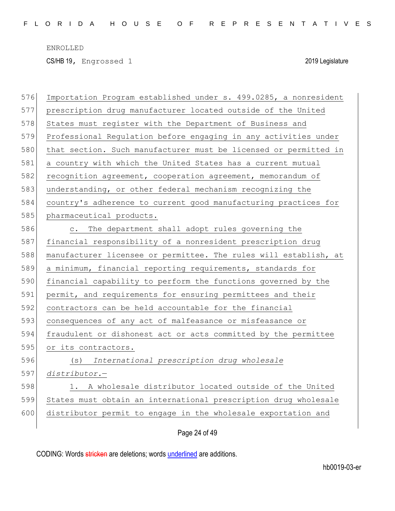CS/HB 19, Engrossed 1 2019 Legislature

| 576 | Importation Program established under s. 499.0285, a nonresident |
|-----|------------------------------------------------------------------|
| 577 | prescription drug manufacturer located outside of the United     |
| 578 | States must register with the Department of Business and         |
| 579 | Professional Regulation before engaging in any activities under  |
| 580 | that section. Such manufacturer must be licensed or permitted in |
| 581 | a country with which the United States has a current mutual      |
| 582 | recognition agreement, cooperation agreement, memorandum of      |
| 583 | understanding, or other federal mechanism recognizing the        |
| 584 | country's adherence to current good manufacturing practices for  |
| 585 | pharmaceutical products.                                         |
| 586 | The department shall adopt rules governing the<br>$\mathsf{C}$ . |
| 587 | financial responsibility of a nonresident prescription drug      |
| 588 | manufacturer licensee or permittee. The rules will establish, at |
| 589 | a minimum, financial reporting requirements, standards for       |
| 590 | financial capability to perform the functions governed by the    |
| 591 | permit, and requirements for ensuring permittees and their       |
| 592 | contractors can be held accountable for the financial            |
| 593 | consequences of any act of malfeasance or misfeasance or         |
| 594 | fraudulent or dishonest act or acts committed by the permittee   |
| 595 | or its contractors.                                              |
| 596 | (s) International prescription drug wholesale                    |
| 597 | distributor.-                                                    |
| 598 | 1. A wholesale distributor located outside of the United         |
| 599 | States must obtain an international prescription drug wholesale  |
| 600 | distributor permit to engage in the wholesale exportation and    |
|     |                                                                  |

Page 24 of 49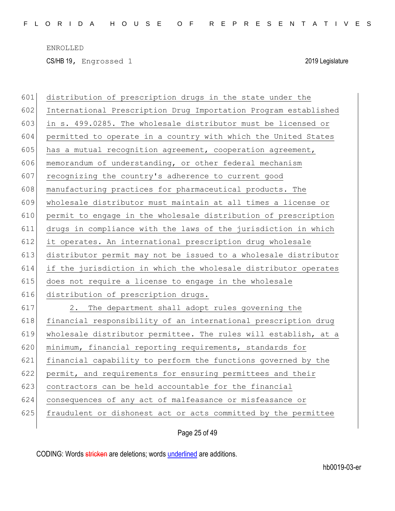CS/HB 19, Engrossed 1 2019 Legislature

| 601 | distribution of prescription drugs in the state under the       |
|-----|-----------------------------------------------------------------|
| 602 | International Prescription Drug Importation Program established |
| 603 | in s. 499.0285. The wholesale distributor must be licensed or   |
| 604 | permitted to operate in a country with which the United States  |
| 605 | has a mutual recognition agreement, cooperation agreement,      |
| 606 | memorandum of understanding, or other federal mechanism         |
| 607 | recognizing the country's adherence to current good             |
| 608 | manufacturing practices for pharmaceutical products. The        |
| 609 | wholesale distributor must maintain at all times a license or   |
| 610 | permit to engage in the wholesale distribution of prescription  |
| 611 | drugs in compliance with the laws of the jurisdiction in which  |
| 612 | it operates. An international prescription drug wholesale       |
| 613 | distributor permit may not be issued to a wholesale distributor |
| 614 | if the jurisdiction in which the wholesale distributor operates |
| 615 | does not require a license to engage in the wholesale           |
| 616 | distribution of prescription drugs.                             |
| 617 | The department shall adopt rules governing the<br>2.            |
| 618 | financial responsibility of an international prescription drug  |
| 619 | wholesale distributor permittee. The rules will establish, at a |
| 620 | minimum, financial reporting requirements, standards for        |
| 621 | financial capability to perform the functions governed by the   |
| 622 | permit, and requirements for ensuring permittees and their      |
| 623 | contractors can be held accountable for the financial           |
| 624 | consequences of any act of malfeasance or misfeasance or        |
| 625 | fraudulent or dishonest act or acts committed by the permittee  |
|     |                                                                 |

Page 25 of 49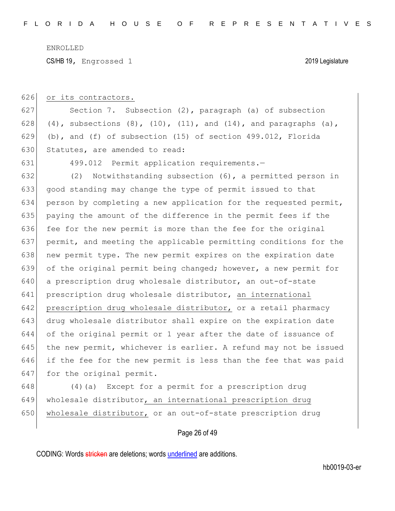CS/HB 19, Engrossed 1 2019 Legislature

626 or its contractors.

| 627 | Section 7. Subsection (2), paragraph (a) of subsection                            |
|-----|-----------------------------------------------------------------------------------|
| 628 | $(4)$ , subsections $(8)$ , $(10)$ , $(11)$ , and $(14)$ , and paragraphs $(a)$ , |
| 629 | (b), and (f) of subsection (15) of section $499.012$ , Florida                    |
| 630 | Statutes, are amended to read:                                                    |
| 631 | 499.012 Permit application requirements.-                                         |
| 632 | Notwithstanding subsection $(6)$ , a permitted person in<br>(2)                   |
| 633 | good standing may change the type of permit issued to that                        |
| 634 | person by completing a new application for the requested permit,                  |
| 635 | paying the amount of the difference in the permit fees if the                     |
| 636 | fee for the new permit is more than the fee for the original                      |
| 637 | permit, and meeting the applicable permitting conditions for the                  |
| 638 | new permit type. The new permit expires on the expiration date                    |
| 639 | of the original permit being changed; however, a new permit for                   |
| 640 | a prescription drug wholesale distributor, an out-of-state                        |
| 641 | prescription drug wholesale distributor, an international                         |
| 642 | prescription drug wholesale distributor, or a retail pharmacy                     |
| 643 | drug wholesale distributor shall expire on the expiration date                    |
| 644 | of the original permit or 1 year after the date of issuance of                    |
| 645 | the new permit, whichever is earlier. A refund may not be issued                  |
| 646 | if the fee for the new permit is less than the fee that was paid                  |
| 647 | for the original permit.                                                          |
| 648 | (4) (a) Except for a permit for a prescription drug                               |
| 649 | wholesale distributor, an international prescription drug                         |
| 650 | wholesale distributor, or an out-of-state prescription drug                       |

# Page 26 of 49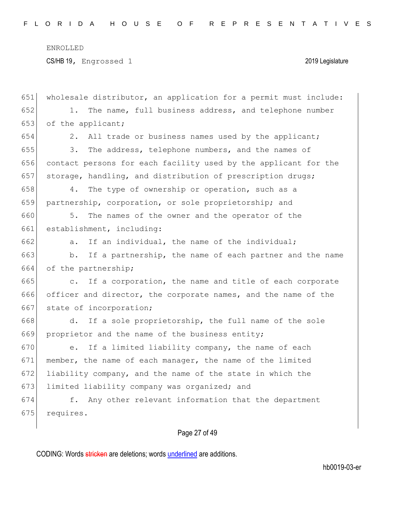CS/HB 19, Engrossed 1 2019 Legislature

| 651 | wholesale distributor, an application for a permit must include:    |
|-----|---------------------------------------------------------------------|
| 652 | The name, full business address, and telephone number               |
| 653 | of the applicant;                                                   |
| 654 | 2.<br>All trade or business names used by the applicant;            |
| 655 | The address, telephone numbers, and the names of<br>3.              |
| 656 | contact persons for each facility used by the applicant for the     |
| 657 | storage, handling, and distribution of prescription drugs;          |
| 658 | The type of ownership or operation, such as a<br>4.                 |
| 659 | partnership, corporation, or sole proprietorship; and               |
| 660 | The names of the owner and the operator of the<br>5.                |
| 661 | establishment, including:                                           |
| 662 | If an individual, the name of the individual;<br>a.                 |
| 663 | If a partnership, the name of each partner and the name<br>b.       |
| 664 | of the partnership;                                                 |
| 665 | If a corporation, the name and title of each corporate<br>$\circ$ . |
| 666 | officer and director, the corporate names, and the name of the      |
| 667 | state of incorporation;                                             |
| 668 | If a sole proprietorship, the full name of the sole<br>d.           |
| 669 | proprietor and the name of the business entity;                     |
| 670 | If a limited liability company, the name of each<br>е.              |
| 671 | member, the name of each manager, the name of the limited           |
| 672 | liability company, and the name of the state in which the           |
| 673 | limited liability company was organized; and                        |
| 674 | Any other relevant information that the department<br>f.            |
| 675 | requires.                                                           |
|     |                                                                     |

# Page 27 of 49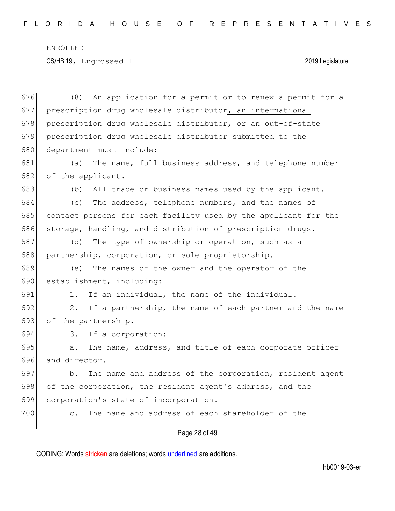676 (8) An application for a permit or to renew a permit for a 677 prescription drug wholesale distributor, an international 678 prescription drug wholesale distributor, or an out-of-state 679 prescription drug wholesale distributor submitted to the 680 department must include: 681 (a) The name, full business address, and telephone number 682 of the applicant. 683 (b) All trade or business names used by the applicant. 684 (c) The address, telephone numbers, and the names of 685 contact persons for each facility used by the applicant for the 686 storage, handling, and distribution of prescription drugs. 687 (d) The type of ownership or operation, such as a 688 partnership, corporation, or sole proprietorship. 689 (e) The names of the owner and the operator of the 690 establishment, including: 691 1. If an individual, the name of the individual. 692 2. If a partnership, the name of each partner and the name 693 of the partnership. 694 3. If a corporation: 695 **a.** The name, address, and title of each corporate officer 696 and director. 697 b. The name and address of the corporation, resident agent 698 of the corporation, the resident agent's address, and the 699 corporation's state of incorporation. 700 c. The name and address of each shareholder of the

## Page 28 of 49

CODING: Words stricken are deletions; words underlined are additions.

hb0019-03-er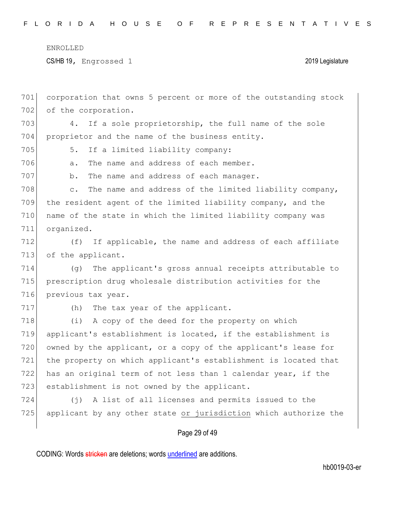CS/HB 19, Engrossed 1 2019 Legislature

Page 29 of 49 corporation that owns 5 percent or more of the outstanding stock 702 of the corporation. 4. If a sole proprietorship, the full name of the sole proprietor and the name of the business entity. 705 5. If a limited liability company: 706 a. The name and address of each member. 707 b. The name and address of each manager. c. The name and address of the limited liability company, the resident agent of the limited liability company, and the name of the state in which the limited liability company was organized. (f) If applicable, the name and address of each affiliate 713 of the applicant. (g) The applicant's gross annual receipts attributable to prescription drug wholesale distribution activities for the previous tax year. 717 (h) The tax year of the applicant. (i) A copy of the deed for the property on which applicant's establishment is located, if the establishment is 720 owned by the applicant, or a copy of the applicant's lease for the property on which applicant's establishment is located that has an original term of not less than 1 calendar year, if the 723 establishment is not owned by the applicant. (j) A list of all licenses and permits issued to the applicant by any other state or jurisdiction which authorize the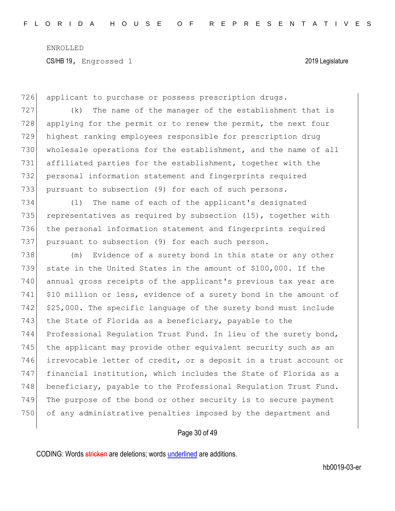726 applicant to purchase or possess prescription drugs.

727 (k) The name of the manager of the establishment that is 728 applying for the permit or to renew the permit, the next four 729 highest ranking employees responsible for prescription drug 730 wholesale operations for the establishment, and the name of all 731 affiliated parties for the establishment, together with the 732 personal information statement and fingerprints required 733 pursuant to subsection (9) for each of such persons.

734 (l) The name of each of the applicant's designated 735 representatives as required by subsection  $(15)$ , together with 736 the personal information statement and fingerprints required 737 pursuant to subsection (9) for each such person.

738 (m) Evidence of a surety bond in this state or any other 739 state in the United States in the amount of \$100,000. If the 740 annual gross receipts of the applicant's previous tax year are 741 \$10 million or less, evidence of a surety bond in the amount of 742 \$25,000. The specific language of the surety bond must include 743 the State of Florida as a beneficiary, payable to the 744 Professional Regulation Trust Fund. In lieu of the surety bond, 745 the applicant may provide other equivalent security such as an 746 irrevocable letter of credit, or a deposit in a trust account or 747 financial institution, which includes the State of Florida as a 748 beneficiary, payable to the Professional Regulation Trust Fund. 749 The purpose of the bond or other security is to secure payment 750 of any administrative penalties imposed by the department and

### Page 30 of 49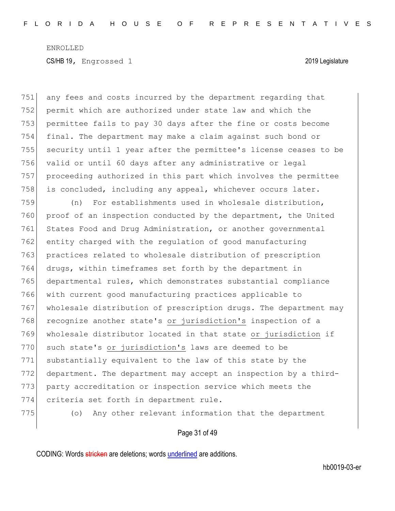any fees and costs incurred by the department regarding that permit which are authorized under state law and which the permittee fails to pay 30 days after the fine or costs become final. The department may make a claim against such bond or 755 security until 1 year after the permittee's license ceases to be valid or until 60 days after any administrative or legal proceeding authorized in this part which involves the permittee 758 is concluded, including any appeal, whichever occurs later. (n) For establishments used in wholesale distribution, proof of an inspection conducted by the department, the United 761 States Food and Drug Administration, or another governmental entity charged with the regulation of good manufacturing practices related to wholesale distribution of prescription drugs, within timeframes set forth by the department in departmental rules, which demonstrates substantial compliance with current good manufacturing practices applicable to wholesale distribution of prescription drugs. The department may 768 recognize another state's or jurisdiction's inspection of a wholesale distributor located in that state or jurisdiction if 770 such state's or jurisdiction's laws are deemed to be substantially equivalent to the law of this state by the department. The department may accept an inspection by a third-773 party accreditation or inspection service which meets the 774 criteria set forth in department rule.

775 (o) Any other relevant information that the department

### Page 31 of 49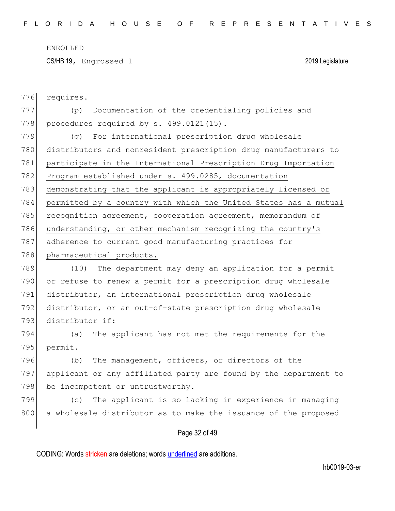CS/HB 19, Engrossed 1 2019 Legislature

Page 32 of 49 776 requires. 777 (p) Documentation of the credentialing policies and 778 procedures required by  $s. 499.0121(15)$ . 779 (q) For international prescription drug wholesale 780 distributors and nonresident prescription drug manufacturers to 781 participate in the International Prescription Drug Importation 782 Program established under s. 499.0285, documentation 783 demonstrating that the applicant is appropriately licensed or 784 permitted by a country with which the United States has a mutual 785 recognition agreement, cooperation agreement, memorandum of 786 understanding, or other mechanism recognizing the country's 787 adherence to current good manufacturing practices for 788 pharmaceutical products. 789 (10) The department may deny an application for a permit 790 or refuse to renew a permit for a prescription drug wholesale 791 distributor, an international prescription drug wholesale 792 distributor, or an out-of-state prescription drug wholesale 793 distributor if: 794 (a) The applicant has not met the requirements for the 795 permit. 796 (b) The management, officers, or directors of the 797 applicant or any affiliated party are found by the department to 798 be incompetent or untrustworthy. 799 (c) The applicant is so lacking in experience in managing 800 a wholesale distributor as to make the issuance of the proposed

CODING: Words stricken are deletions; words underlined are additions.

hb0019-03-er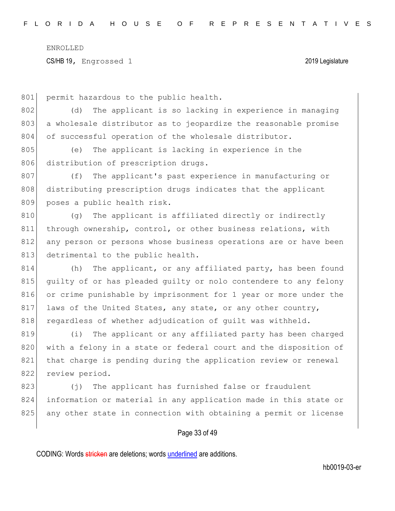CS/HB 19, Engrossed 1 2019 Legislature

801 permit hazardous to the public health.

802 (d) The applicant is so lacking in experience in managing 803 a wholesale distributor as to jeopardize the reasonable promise 804 of successful operation of the wholesale distributor.

805 (e) The applicant is lacking in experience in the 806 distribution of prescription drugs.

807 (f) The applicant's past experience in manufacturing or 808 distributing prescription drugs indicates that the applicant 809 poses a public health risk.

 $810$  (q) The applicant is affiliated directly or indirectly 811 through ownership, control, or other business relations, with 812 any person or persons whose business operations are or have been 813 detrimental to the public health.

814 (h) The applicant, or any affiliated party, has been found 815 quilty of or has pleaded quilty or nolo contendere to any felony 816 or crime punishable by imprisonment for 1 year or more under the 817 laws of the United States, any state, or any other country, 818 regardless of whether adjudication of quilt was withheld.

819 (i) The applicant or any affiliated party has been charged 820 with a felony in a state or federal court and the disposition of 821 that charge is pending during the application review or renewal 822 review period.

823 (j) The applicant has furnished false or fraudulent 824 information or material in any application made in this state or 825 any other state in connection with obtaining a permit or license

### Page 33 of 49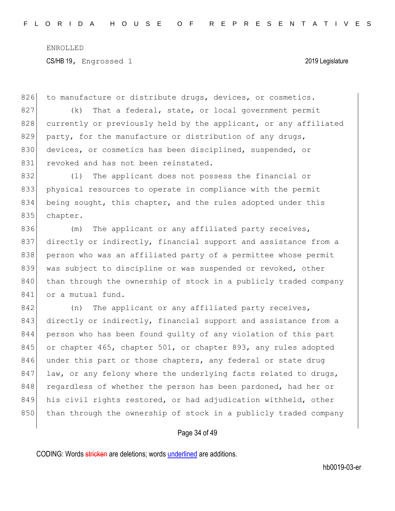CS/HB 19, Engrossed 1 2019 Legislature

826 to manufacture or distribute drugs, devices, or cosmetics.  $827$  (k) That a federal, state, or local government permit 828 currently or previously held by the applicant, or any affiliated 829 party, for the manufacture or distribution of any drugs, 830 devices, or cosmetics has been disciplined, suspended, or 831 revoked and has not been reinstated. 832 (1) The applicant does not possess the financial or 833 physical resources to operate in compliance with the permit 834 being sought, this chapter, and the rules adopted under this 835 chapter. 836 (m) The applicant or any affiliated party receives, 837 directly or indirectly, financial support and assistance from a 838 person who was an affiliated party of a permittee whose permit 839 was subject to discipline or was suspended or revoked, other 840 than through the ownership of stock in a publicly traded company 841 or a mutual fund. 842 (n) The applicant or any affiliated party receives, 843 directly or indirectly, financial support and assistance from a 844 person who has been found guilty of any violation of this part 845 or chapter 465, chapter 501, or chapter 893, any rules adopted 846 under this part or those chapters, any federal or state drug

847 law, or any felony where the underlying facts related to drugs, 848 regardless of whether the person has been pardoned, had her or 849 his civil rights restored, or had adjudication withheld, other 850 than through the ownership of stock in a publicly traded company

### Page 34 of 49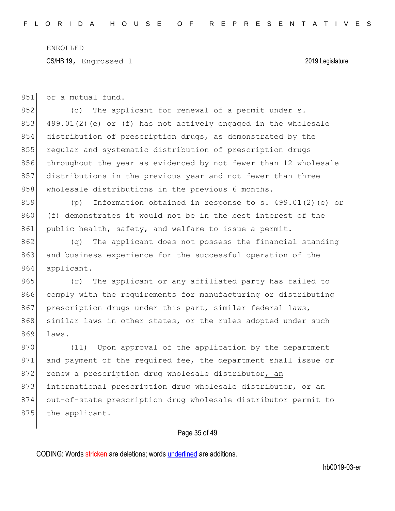CS/HB 19, Engrossed 1 2019 Legislature

851 or a mutual fund.

852 (o) The applicant for renewal of a permit under s. 853 499.01(2)(e) or (f) has not actively engaged in the wholesale 854 distribution of prescription drugs, as demonstrated by the 855 regular and systematic distribution of prescription drugs 856 throughout the year as evidenced by not fewer than 12 wholesale 857 distributions in the previous year and not fewer than three 858 wholesale distributions in the previous 6 months.

859 (p) Information obtained in response to s. 499.01(2)(e) or 860 (f) demonstrates it would not be in the best interest of the 861 public health, safety, and welfare to issue a permit.

862 (q) The applicant does not possess the financial standing 863 and business experience for the successful operation of the 864 applicant.

865 (r) The applicant or any affiliated party has failed to 866 comply with the requirements for manufacturing or distributing 867 prescription drugs under this part, similar federal laws, 868 similar laws in other states, or the rules adopted under such 869 laws.

870 (11) Upon approval of the application by the department 871 and payment of the required fee, the department shall issue or 872 renew a prescription drug wholesale distributor, an 873 international prescription drug wholesale distributor, or an 874 out-of-state prescription drug wholesale distributor permit to 875 the applicant.

## Page 35 of 49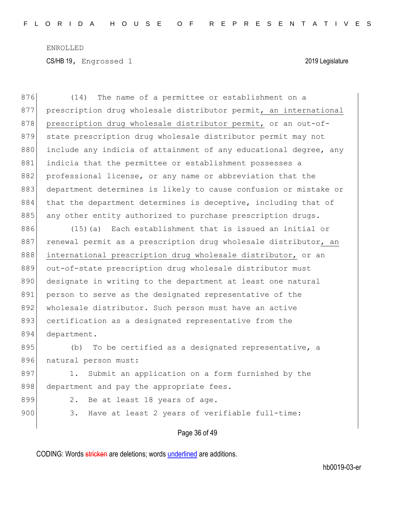Page 36 of 49 876 (14) The name of a permittee or establishment on a 877 prescription drug wholesale distributor permit, an international 878 prescription drug wholesale distributor permit, or an out-of-879 state prescription drug wholesale distributor permit may not 880 include any indicia of attainment of any educational degree, any 881 indicia that the permittee or establishment possesses a 882 professional license, or any name or abbreviation that the 883 department determines is likely to cause confusion or mistake or 884 that the department determines is deceptive, including that of 885 any other entity authorized to purchase prescription drugs. 886 (15)(a) Each establishment that is issued an initial or 887 renewal permit as a prescription drug wholesale distributor, an 888 international prescription drug wholesale distributor, or an 889 out-of-state prescription drug wholesale distributor must 890 designate in writing to the department at least one natural 891 person to serve as the designated representative of the 892 wholesale distributor. Such person must have an active 893 certification as a designated representative from the 894 department. 895 (b) To be certified as a designated representative, a 896 natural person must: 897 1. Submit an application on a form furnished by the 898 department and pay the appropriate fees. 899 2. Be at least 18 years of age. 900 3. Have at least 2 years of verifiable full-time: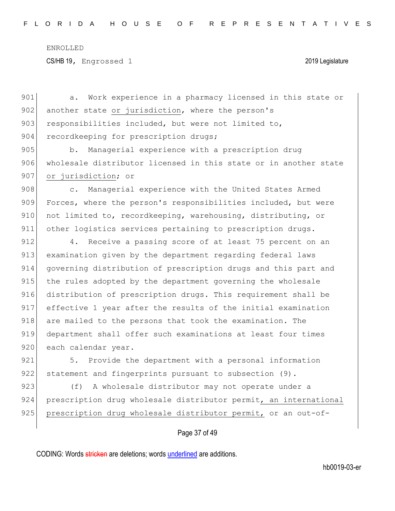901 a. Work experience in a pharmacy licensed in this state or 902 another state or jurisdiction, where the person's 903 responsibilities included, but were not limited to, 904 recordkeeping for prescription drugs;

905 b. Managerial experience with a prescription drug 906 wholesale distributor licensed in this state or in another state 907 or jurisdiction; or

908 c. Managerial experience with the United States Armed 909 Forces, where the person's responsibilities included, but were 910 not limited to, recordkeeping, warehousing, distributing, or 911 other logistics services pertaining to prescription drugs.

912 4. Receive a passing score of at least 75 percent on an 913 examination given by the department regarding federal laws 914 governing distribution of prescription drugs and this part and 915 the rules adopted by the department governing the wholesale 916 distribution of prescription drugs. This requirement shall be 917 effective 1 year after the results of the initial examination 918 are mailed to the persons that took the examination. The 919 department shall offer such examinations at least four times 920 each calendar year.

921 5. Provide the department with a personal information 922 statement and fingerprints pursuant to subsection (9).

923 (f) A wholesale distributor may not operate under a 924 prescription drug wholesale distributor permit, an international 925 prescription drug wholesale distributor permit, or an out-of-

Page 37 of 49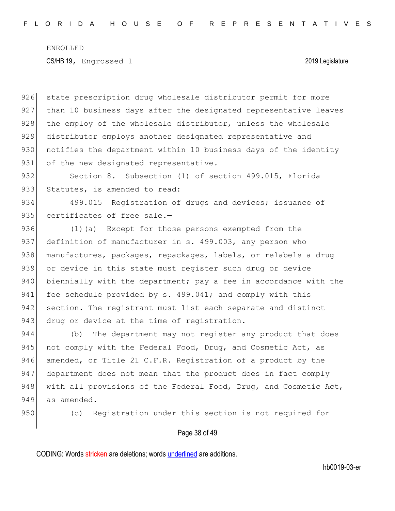926 state prescription drug wholesale distributor permit for more 927 than 10 business days after the designated representative leaves 928 the employ of the wholesale distributor, unless the wholesale 929 distributor employs another designated representative and 930 notifies the department within 10 business days of the identity 931 of the new designated representative.

932 Section 8. Subsection (1) of section 499.015, Florida 933 Statutes, is amended to read:

934 499.015 Registration of drugs and devices; issuance of 935 certificates of free sale.-

936 (1)(a) Except for those persons exempted from the 937 definition of manufacturer in s. 499.003, any person who 938 manufactures, packages, repackages, labels, or relabels a drug 939 or device in this state must register such drug or device 940 biennially with the department; pay a fee in accordance with the 941 fee schedule provided by s. 499.041; and comply with this 942 section. The registrant must list each separate and distinct 943 drug or device at the time of registration.

944 (b) The department may not register any product that does 945 not comply with the Federal Food, Drug, and Cosmetic Act, as 946 amended, or Title 21 C.F.R. Registration of a product by the 947 department does not mean that the product does in fact comply 948 with all provisions of the Federal Food, Drug, and Cosmetic Act, 949 as amended.

950 (c) Registration under this section is not required for

### Page 38 of 49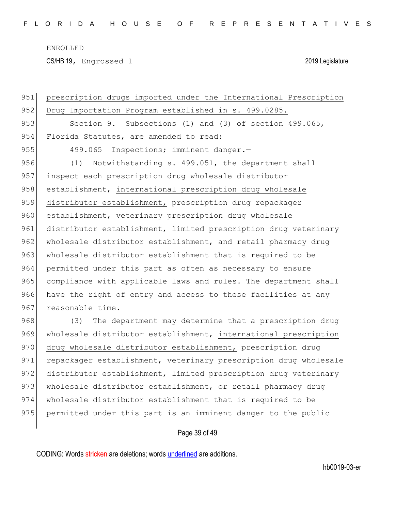CS/HB 19, Engrossed 1 2019 Legislature

| 951 | prescription drugs imported under the International Prescription |
|-----|------------------------------------------------------------------|
| 952 | Drug Importation Program established in s. 499.0285.             |
| 953 | Section 9. Subsections (1) and (3) of section 499.065,           |
| 954 | Florida Statutes, are amended to read:                           |
| 955 | Inspections; imminent danger.-<br>499.065                        |
| 956 | Notwithstanding s. 499.051, the department shall<br>(1)          |
| 957 | inspect each prescription drug wholesale distributor             |
| 958 | establishment, international prescription drug wholesale         |
| 959 | distributor establishment, prescription drug repackager          |
| 960 | establishment, veterinary prescription drug wholesale            |
| 961 | distributor establishment, limited prescription drug veterinary  |
| 962 | wholesale distributor establishment, and retail pharmacy drug    |
| 963 | wholesale distributor establishment that is required to be       |
| 964 | permitted under this part as often as necessary to ensure        |
| 965 | compliance with applicable laws and rules. The department shall  |
| 966 | have the right of entry and access to these facilities at any    |
| 967 | reasonable time.                                                 |
| 968 | The department may determine that a prescription drug<br>(3)     |
| 969 | wholesale distributor establishment, international prescription  |
| 970 | drug wholesale distributor establishment, prescription drug      |
| 971 | repackager establishment, veterinary prescription drug wholesale |
| 972 | distributor establishment, limited prescription drug veterinary  |
| 973 | wholesale distributor establishment, or retail pharmacy drug     |
| 974 | wholesale distributor establishment that is required to be       |
| 975 | permitted under this part is an imminent danger to the public    |
|     |                                                                  |

# Page 39 of 49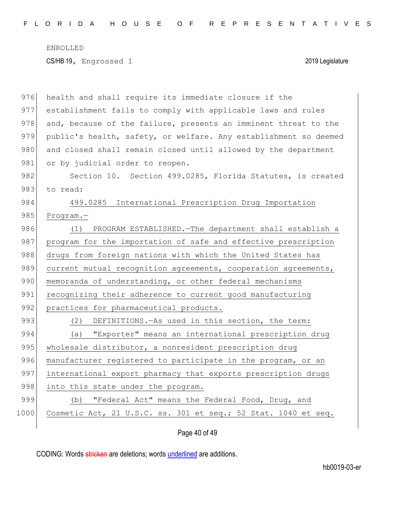| 976  | health and shall require its immediate closure if the            |
|------|------------------------------------------------------------------|
| 977  | establishment fails to comply with applicable laws and rules     |
| 978  | and, because of the failure, presents an imminent threat to the  |
| 979  | public's health, safety, or welfare. Any establishment so deemed |
| 980  | and closed shall remain closed until allowed by the department   |
| 981  | or by judicial order to reopen.                                  |
| 982  | Section 10. Section 499.0285, Florida Statutes, is created       |
| 983  | to read:                                                         |
| 984  | 499.0285 International Prescription Drug Importation             |
| 985  | $Program. -$                                                     |
| 986  | PROGRAM ESTABLISHED. - The department shall establish a<br>(1)   |
| 987  | program for the importation of safe and effective prescription   |
| 988  | drugs from foreign nations with which the United States has      |
| 989  | current mutual recognition agreements, cooperation agreements,   |
| 990  | memoranda of understanding, or other federal mechanisms          |
| 991  | recognizing their adherence to current good manufacturing        |
| 992  | practices for pharmaceutical products.                           |
| 993  | DEFINITIONS. - As used in this section, the term:<br>(2)         |
| 994  | "Exporter" means an international prescription drug<br>(a)       |
| 995  | wholesale distributor, a nonresident prescription drug           |
| 996  | manufacturer registered to participate in the program, or an     |
| 997  | international export pharmacy that exports prescription drugs    |
| 998  | into this state under the program.                               |
| 999  | "Federal Act" means the Federal Food, Drug, and<br>(b)           |
| 1000 | Cosmetic Act, 21 U.S.C. ss. 301 et seq.; 52 Stat. 1040 et seq.   |
|      |                                                                  |

Page 40 of 49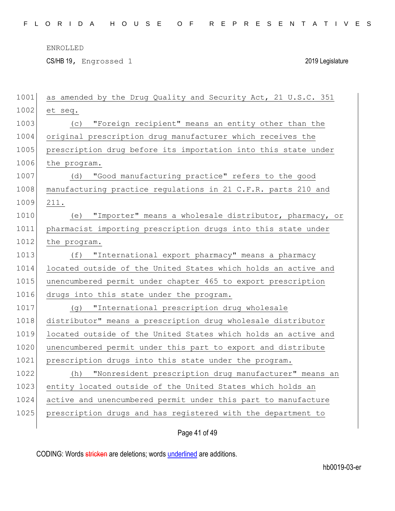CS/HB 19, Engrossed 1 2019 Legislature

| 1001 | as amended by the Drug Quality and Security Act, 21 U.S.C. 351 |
|------|----------------------------------------------------------------|
| 1002 | et seq.                                                        |
| 1003 | "Foreign recipient" means an entity other than the<br>(C)      |
| 1004 | original prescription drug manufacturer which receives the     |
| 1005 | prescription drug before its importation into this state under |
| 1006 | the program.                                                   |
| 1007 | "Good manufacturing practice" refers to the good<br>(d)        |
| 1008 | manufacturing practice regulations in 21 C.F.R. parts 210 and  |
| 1009 | 211.                                                           |
| 1010 | (e) "Importer" means a wholesale distributor, pharmacy, or     |
| 1011 | pharmacist importing prescription drugs into this state under  |
| 1012 | the program.                                                   |
| 1013 | "International export pharmacy" means a pharmacy<br>(f)        |
| 1014 | located outside of the United States which holds an active and |
| 1015 | unencumbered permit under chapter 465 to export prescription   |
| 1016 | drugs into this state under the program.                       |
| 1017 | (g) "International prescription drug wholesale                 |
| 1018 | distributor" means a prescription drug wholesale distributor   |
| 1019 | located outside of the United States which holds an active and |
| 1020 | unencumbered permit under this part to export and distribute   |
| 1021 | prescription drugs into this state under the program.          |
| 1022 | "Nonresident prescription drug manufacturer" means an<br>(h)   |
| 1023 | entity located outside of the United States which holds an     |
| 1024 | active and unencumbered permit under this part to manufacture  |
| 1025 | prescription drugs and has registered with the department to   |
|      |                                                                |

# Page 41 of 49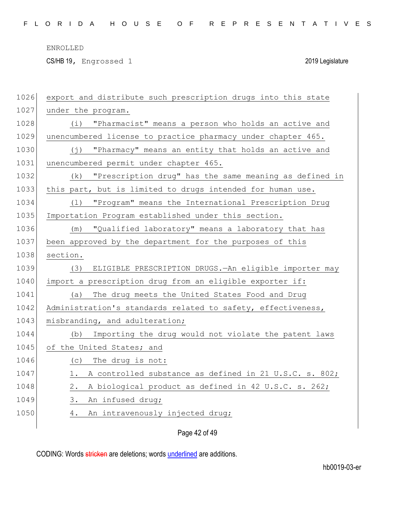CS/HB 19, Engrossed 1 2019 Legislature

|      | Page 42 of 49                                                          |
|------|------------------------------------------------------------------------|
| 1050 | An intravenously injected drug;<br>4.                                  |
| 1049 | An infused drug;<br>3.                                                 |
| 1048 | A biological product as defined in 42 U.S.C. s. 262;<br>2.             |
| 1047 | A controlled substance as defined in 21 U.S.C. s. 802;<br>1.           |
| 1046 | The drug is not:<br>(C)                                                |
| 1045 | of the United States; and                                              |
| 1044 | Importing the drug would not violate the patent laws<br>(b)            |
| 1043 | misbranding, and adulteration;                                         |
| 1042 | Administration's standards related to safety, effectiveness,           |
| 1041 | The drug meets the United States Food and Drug<br>(a)                  |
| 1040 | import a prescription drug from an eligible exporter if:               |
| 1039 | ELIGIBLE PRESCRIPTION DRUGS. - An eligible importer may<br>(3)         |
| 1038 | section.                                                               |
| 1037 | been approved by the department for the purposes of this               |
| 1036 | "Qualified laboratory" means a laboratory that has<br>(m)              |
| 1035 | Importation Program established under this section.                    |
| 1034 | "Program" means the International Prescription Drug<br>(1)             |
| 1033 | this part, but is limited to drugs intended for human use.             |
| 1032 | "Prescription drug" has the same meaning as defined in<br>(k)          |
| 1031 | unencumbered permit under chapter 465.                                 |
| 1030 | "Pharmacy" means an entity that holds an active and<br>$(\dagger)$     |
| 1029 | unencumbered license to practice pharmacy under chapter 465.           |
| 1028 | "Pharmacist" means a person who holds an active and<br>$(\dot{\perp})$ |
| 1027 | under the program.                                                     |
| 1026 | export and distribute such prescription drugs into this state          |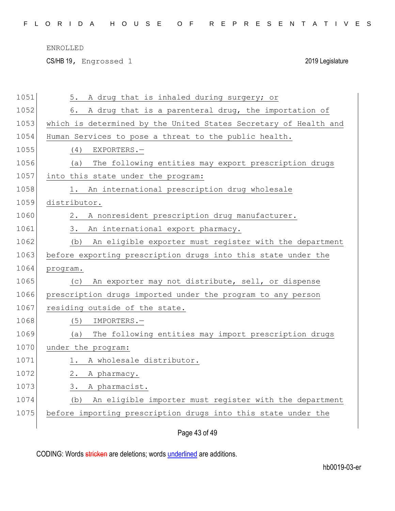CS/HB 19, Engrossed 1 2019 Legislature

| 1051 | A drug that is inhaled during surgery; or<br>5.                  |
|------|------------------------------------------------------------------|
| 1052 | A drug that is a parenteral drug, the importation of<br>6.       |
| 1053 | which is determined by the United States Secretary of Health and |
| 1054 | Human Services to pose a threat to the public health.            |
| 1055 | (4)<br>EXPORTERS.-                                               |
| 1056 | The following entities may export prescription drugs<br>(a)      |
| 1057 | into this state under the program:                               |
| 1058 | 1. An international prescription drug wholesale                  |
| 1059 | distributor.                                                     |
| 1060 | A nonresident prescription drug manufacturer.<br>2.              |
| 1061 | An international export pharmacy.<br>3.                          |
| 1062 | An eligible exporter must register with the department<br>(b)    |
| 1063 | before exporting prescription drugs into this state under the    |
| 1064 | program.                                                         |
| 1065 | An exporter may not distribute, sell, or dispense<br>(C)         |
| 1066 | prescription drugs imported under the program to any person      |
| 1067 | residing outside of the state.                                   |
| 1068 | (5)<br>IMPORTERS.-                                               |
| 1069 | The following entities may import prescription drugs<br>(a)      |
| 1070 | under the program:                                               |
| 1071 | A wholesale distributor.<br>1.                                   |
| 1072 | A pharmacy.<br>2.                                                |
| 1073 | 3.<br>A pharmacist.                                              |
| 1074 | An eligible importer must register with the department<br>(b)    |
| 1075 | before importing prescription drugs into this state under the    |
|      |                                                                  |

Page 43 of 49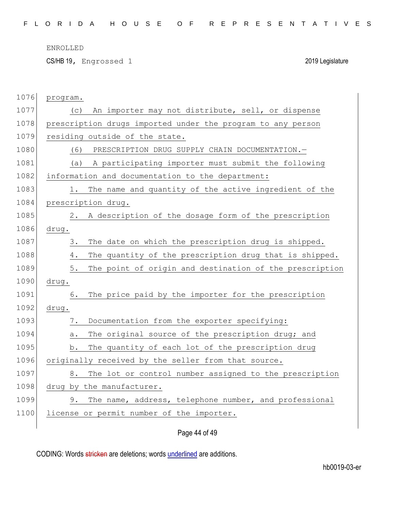CS/HB 19, Engrossed 1 2019 Legislature

1076 program. 1077 (c) An importer may not distribute, sell, or dispense 1078 prescription drugs imported under the program to any person 1079 residing outside of the state. 1080 (6) PRESCRIPTION DRUG SUPPLY CHAIN DOCUMENTATION. 1081 (a) A participating importer must submit the following 1082 information and documentation to the department: 1083 1. The name and quantity of the active ingredient of the 1084 prescription drug. 1085 2. A description of the dosage form of the prescription 1086 drug. 1087 3. The date on which the prescription drug is shipped. 1088 4. The quantity of the prescription drug that is shipped. 1089 5. The point of origin and destination of the prescription 1090 drug. 1091 6. The price paid by the importer for the prescription 1092 drug. 1093 7. Documentation from the exporter specifying: 1094 a. The original source of the prescription drug; and 1095 b. The quantity of each lot of the prescription drug 1096 originally received by the seller from that source. 1097 8. The lot or control number assigned to the prescription 1098 drug by the manufacturer. 1099 9. The name, address, telephone number, and professional 1100 license or permit number of the importer.

## Page 44 of 49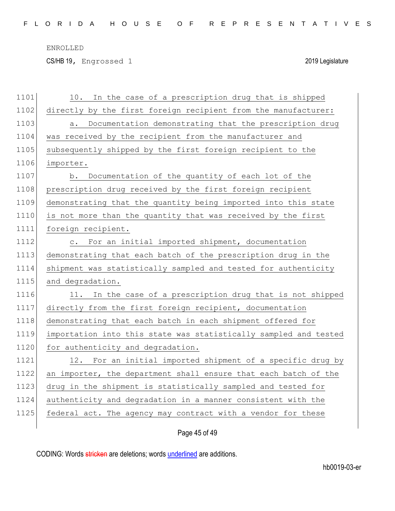CS/HB 19, Engrossed 1 2019 Legislature

| 1101 | In the case of a prescription drug that is shipped<br>10.        |
|------|------------------------------------------------------------------|
| 1102 | directly by the first foreign recipient from the manufacturer:   |
| 1103 | Documentation demonstrating that the prescription drug<br>а.     |
| 1104 | was received by the recipient from the manufacturer and          |
| 1105 | subsequently shipped by the first foreign recipient to the       |
| 1106 | importer.                                                        |
| 1107 | Documentation of the quantity of each lot of the<br>b.           |
| 1108 | prescription drug received by the first foreign recipient        |
| 1109 | demonstrating that the quantity being imported into this state   |
| 1110 | is not more than the quantity that was received by the first     |
| 1111 | foreign recipient.                                               |
| 1112 | For an initial imported shipment, documentation<br>$\circ$ .     |
| 1113 | demonstrating that each batch of the prescription drug in the    |
| 1114 | shipment was statistically sampled and tested for authenticity   |
| 1115 | and degradation.                                                 |
| 1116 | In the case of a prescription drug that is not shipped<br>11.    |
| 1117 | directly from the first foreign recipient, documentation         |
| 1118 | demonstrating that each batch in each shipment offered for       |
| 1119 | importation into this state was statistically sampled and tested |
| 1120 | for authenticity and degradation.                                |
| 1121 | 12. For an initial imported shipment of a specific drug by       |
| 1122 | an importer, the department shall ensure that each batch of the  |
| 1123 | drug in the shipment is statistically sampled and tested for     |
| 1124 | authenticity and degradation in a manner consistent with the     |
| 1125 | federal act. The agency may contract with a vendor for these     |
|      |                                                                  |

Page 45 of 49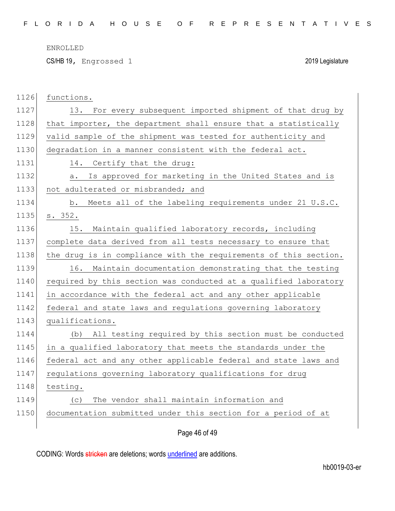CS/HB 19, Engrossed 1 2019 Legislature

| 1126 | functions.                                                       |
|------|------------------------------------------------------------------|
| 1127 | 13. For every subsequent imported shipment of that drug by       |
| 1128 | that importer, the department shall ensure that a statistically  |
| 1129 | valid sample of the shipment was tested for authenticity and     |
| 1130 | degradation in a manner consistent with the federal act.         |
| 1131 | 14. Certify that the drug:                                       |
| 1132 | Is approved for marketing in the United States and is<br>а.      |
| 1133 | not adulterated or misbranded; and                               |
| 1134 | Meets all of the labeling requirements under 21 U.S.C.<br>b.     |
| 1135 | s. 352.                                                          |
| 1136 | Maintain qualified laboratory records, including<br>15.          |
| 1137 | complete data derived from all tests necessary to ensure that    |
| 1138 | the drug is in compliance with the requirements of this section. |
| 1139 | 16. Maintain documentation demonstrating that the testing        |
| 1140 | required by this section was conducted at a qualified laboratory |
| 1141 | in accordance with the federal act and any other applicable      |
| 1142 | federal and state laws and regulations governing laboratory      |
| 1143 | qualifications.                                                  |
| 1144 | All testing required by this section must be conducted<br>(b)    |
| 1145 | in a qualified laboratory that meets the standards under the     |
| 1146 | federal act and any other applicable federal and state laws and  |
| 1147 | regulations governing laboratory qualifications for drug         |
| 1148 | testing.                                                         |
| 1149 | The vendor shall maintain information and<br>(C)                 |
| 1150 | documentation submitted under this section for a period of at    |
|      |                                                                  |

Page 46 of 49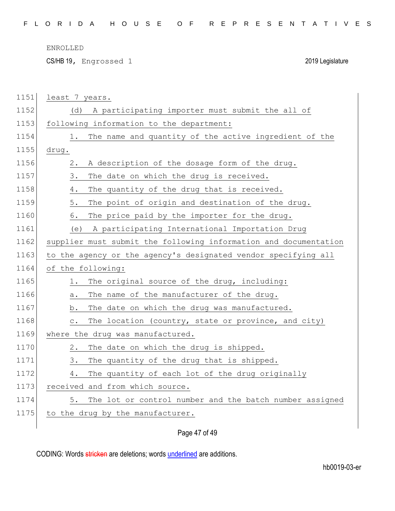CS/HB 19, Engrossed 1 2019 Legislature

| $1151$ | least 7 years.                                                        |
|--------|-----------------------------------------------------------------------|
| 1152   | A participating importer must submit the all of<br>(d)                |
| 1153   | following information to the department:                              |
| 1154   | The name and quantity of the active ingredient of the<br>1.           |
| 1155   | drug.                                                                 |
| 1156   | 2.<br>A description of the dosage form of the drug.                   |
| 1157   | 3.<br>The date on which the drug is received.                         |
| 1158   | The quantity of the drug that is received.<br>4.                      |
| 1159   | 5.<br>The point of origin and destination of the drug.                |
| 1160   | 6.<br>The price paid by the importer for the drug.                    |
| 1161   | A participating International Importation Drug<br>(e)                 |
| 1162   | supplier must submit the following information and documentation      |
| 1163   | to the agency or the agency's designated vendor specifying all        |
| 1164   | of the following:                                                     |
| 1165   | The original source of the drug, including:<br>1.                     |
| 1166   | The name of the manufacturer of the drug.<br>а.                       |
| 1167   | The date on which the drug was manufactured.<br>b.                    |
| 1168   | The location (country, state or province, and city)<br>$\mathtt{C}$ . |
| 1169   | where the drug was manufactured.                                      |
| 1170   | The date on which the drug is shipped.<br>2.                          |
| 1171   | 3.<br>The quantity of the drug that is shipped.                       |
| 1172   | The quantity of each lot of the drug originally<br>4.                 |
| 1173   | received and from which source.                                       |
| 1174   | The lot or control number and the batch number assigned<br>5.         |
| 1175   | to the drug by the manufacturer.                                      |
|        |                                                                       |

Page 47 of 49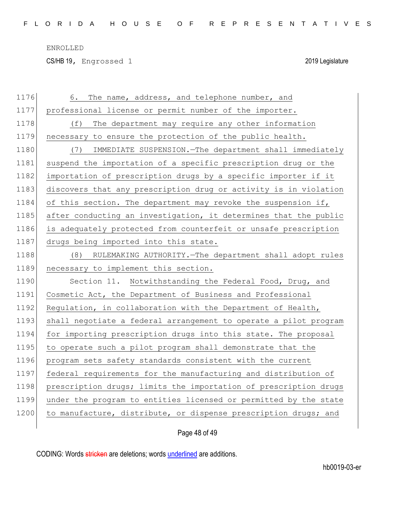CS/HB 19, Engrossed 1 2019 Legislature

| 1176 | The name, address, and telephone number, and<br>6.               |
|------|------------------------------------------------------------------|
| 1177 | professional license or permit number of the importer.           |
| 1178 | The department may require any other information<br>(f)          |
| 1179 | necessary to ensure the protection of the public health.         |
| 1180 | IMMEDIATE SUSPENSION. - The department shall immediately<br>(7)  |
| 1181 | suspend the importation of a specific prescription drug or the   |
| 1182 | importation of prescription drugs by a specific importer if it   |
| 1183 | discovers that any prescription drug or activity is in violation |
| 1184 | of this section. The department may revoke the suspension if,    |
| 1185 | after conducting an investigation, it determines that the public |
| 1186 | is adequately protected from counterfeit or unsafe prescription  |
| 1187 | drugs being imported into this state.                            |
| 1188 | RULEMAKING AUTHORITY. - The department shall adopt rules<br>(8)  |
|      |                                                                  |
| 1189 | necessary to implement this section.                             |
| 1190 | Section 11. Notwithstanding the Federal Food, Drug, and          |
| 1191 | Cosmetic Act, the Department of Business and Professional        |
| 1192 | Regulation, in collaboration with the Department of Health,      |
| 1193 | shall negotiate a federal arrangement to operate a pilot program |
| 1194 | for importing prescription drugs into this state. The proposal   |
| 1195 | to operate such a pilot program shall demonstrate that the       |
| 1196 | program sets safety standards consistent with the current        |
| 1197 | federal requirements for the manufacturing and distribution of   |
| 1198 | prescription drugs; limits the importation of prescription drugs |
| 1199 | under the program to entities licensed or permitted by the state |
| 1200 | to manufacture, distribute, or dispense prescription drugs; and  |

Page 48 of 49